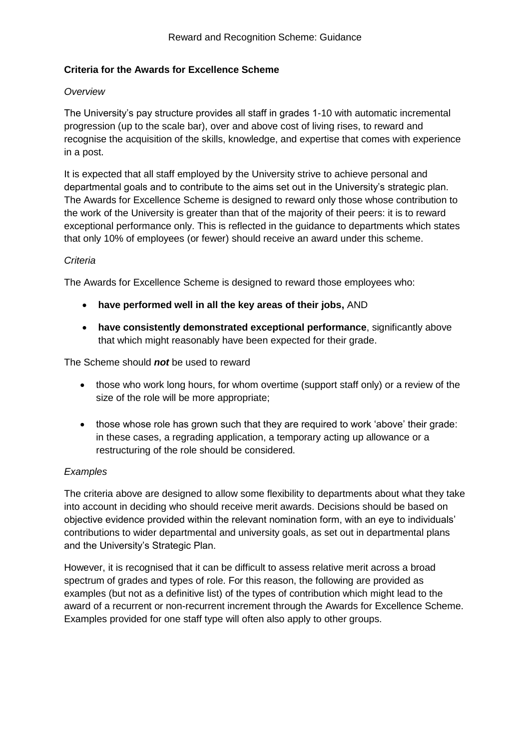## **Criteria for the Awards for Excellence Scheme**

## *Overview*

The University's pay structure provides all staff in grades 1-10 with automatic incremental progression (up to the scale bar), over and above cost of living rises, to reward and recognise the acquisition of the skills, knowledge, and expertise that comes with experience in a post.

It is expected that all staff employed by the University strive to achieve personal and departmental goals and to contribute to the aims set out in the University's strategic plan. The Awards for Excellence Scheme is designed to reward only those whose contribution to the work of the University is greater than that of the majority of their peers: it is to reward exceptional performance only. This is reflected in the guidance to departments which states that only 10% of employees (or fewer) should receive an award under this scheme.

## *Criteria*

The Awards for Excellence Scheme is designed to reward those employees who:

- **have performed well in all the key areas of their jobs,** AND
- **have consistently demonstrated exceptional performance**, significantly above that which might reasonably have been expected for their grade.

The Scheme should *not* be used to reward

- those who work long hours, for whom overtime (support staff only) or a review of the size of the role will be more appropriate;
- those whose role has grown such that they are required to work 'above' their grade: in these cases, a regrading application, a temporary acting up allowance or a restructuring of the role should be considered.

## *Examples*

The criteria above are designed to allow some flexibility to departments about what they take into account in deciding who should receive merit awards. Decisions should be based on objective evidence provided within the relevant nomination form, with an eye to individuals' contributions to wider departmental and university goals, as set out in departmental plans and the University's Strategic Plan.

However, it is recognised that it can be difficult to assess relative merit across a broad spectrum of grades and types of role. For this reason, the following are provided as examples (but not as a definitive list) of the types of contribution which might lead to the award of a recurrent or non-recurrent increment through the Awards for Excellence Scheme. Examples provided for one staff type will often also apply to other groups.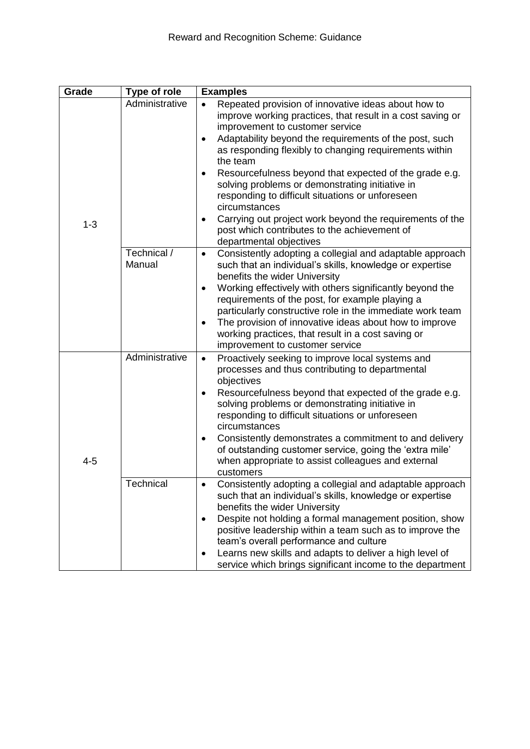| Grade   | <b>Type of role</b>   | <b>Examples</b>                                                                                                                                                                                                                                                                                                                                                                                                                                                                                                                                                                                                                                   |  |  |
|---------|-----------------------|---------------------------------------------------------------------------------------------------------------------------------------------------------------------------------------------------------------------------------------------------------------------------------------------------------------------------------------------------------------------------------------------------------------------------------------------------------------------------------------------------------------------------------------------------------------------------------------------------------------------------------------------------|--|--|
| $1 - 3$ | Administrative        | Repeated provision of innovative ideas about how to<br>$\bullet$<br>improve working practices, that result in a cost saving or<br>improvement to customer service<br>Adaptability beyond the requirements of the post, such<br>$\bullet$<br>as responding flexibly to changing requirements within<br>the team<br>Resourcefulness beyond that expected of the grade e.g.<br>٠<br>solving problems or demonstrating initiative in<br>responding to difficult situations or unforeseen<br>circumstances<br>Carrying out project work beyond the requirements of the<br>٠<br>post which contributes to the achievement of<br>departmental objectives |  |  |
|         | Technical /<br>Manual | Consistently adopting a collegial and adaptable approach<br>$\bullet$<br>such that an individual's skills, knowledge or expertise<br>benefits the wider University<br>Working effectively with others significantly beyond the<br>$\bullet$<br>requirements of the post, for example playing a<br>particularly constructive role in the immediate work team<br>The provision of innovative ideas about how to improve<br>working practices, that result in a cost saving or<br>improvement to customer service                                                                                                                                    |  |  |
| $4 - 5$ | Administrative        | Proactively seeking to improve local systems and<br>$\bullet$<br>processes and thus contributing to departmental<br>objectives<br>Resourcefulness beyond that expected of the grade e.g.<br>$\bullet$<br>solving problems or demonstrating initiative in<br>responding to difficult situations or unforeseen<br>circumstances<br>Consistently demonstrates a commitment to and delivery<br>٠<br>of outstanding customer service, going the 'extra mile'<br>when appropriate to assist colleagues and external<br>customers                                                                                                                        |  |  |
|         | Technical             | Consistently adopting a collegial and adaptable approach<br>such that an individual's skills, knowledge or expertise<br>benefits the wider University<br>Despite not holding a formal management position, show<br>٠<br>positive leadership within a team such as to improve the<br>team's overall performance and culture<br>Learns new skills and adapts to deliver a high level of<br>٠<br>service which brings significant income to the department                                                                                                                                                                                           |  |  |